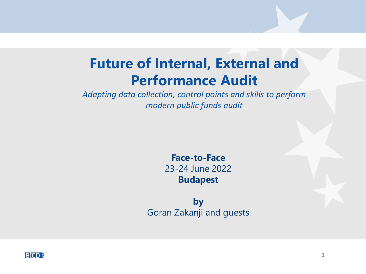# **Future of Internal, External and Performance Audit**

*Adapting data collection, control points and skills to perform modern public funds audit*

> **Face-to-Face** 23-24 June 2022 **Budapest**

**by** Goran Zakanji and guests

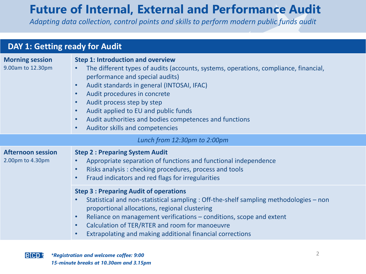## **Future of Internal, External and Performance Audit**

*Adapting data collection, control points and skills to perform modern public funds audit*

| <b>DAY 1: Getting ready for Audit</b>        |                                                                                                                                                                                                                                                                                                                                                                                                                                                                                                    |
|----------------------------------------------|----------------------------------------------------------------------------------------------------------------------------------------------------------------------------------------------------------------------------------------------------------------------------------------------------------------------------------------------------------------------------------------------------------------------------------------------------------------------------------------------------|
| <b>Morning session</b><br>9.00am to 12.30pm  | <b>Step 1: Introduction and overview</b><br>The different types of audits (accounts, systems, operations, compliance, financial,<br>performance and special audits)<br>Audit standards in general (INTOSAI, IFAC)<br>$\bullet$<br>Audit procedures in concrete<br>$\bullet$<br>Audit process step by step<br>$\bullet$<br>Audit applied to EU and public funds<br>$\bullet$<br>Audit authorities and bodies competences and functions<br>$\bullet$<br>Auditor skills and competencies<br>$\bullet$ |
| Lunch from 12:30pm to 2:00pm                 |                                                                                                                                                                                                                                                                                                                                                                                                                                                                                                    |
| <b>Afternoon session</b><br>2.00pm to 4.30pm | <b>Step 2: Preparing System Audit</b><br>Appropriate separation of functions and functional independence<br>Risks analysis: checking procedures, process and tools<br>$\bullet$<br>Fraud indicators and red flags for irregularities<br>$\bullet$                                                                                                                                                                                                                                                  |
|                                              | <b>Step 3: Preparing Audit of operations</b><br>Statistical and non-statistical sampling : Off-the-shelf sampling methodologies – non<br>$\bullet$<br>proportional allocations, regional clustering<br>Reliance on management verifications – conditions, scope and extent<br>$\bullet$<br>Calculation of TER/RTER and room for manoeuvre<br>$\bullet$<br>Extrapolating and making additional financial corrections<br>$\bullet$                                                                   |

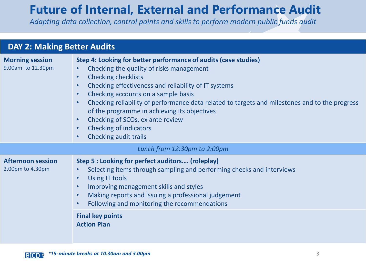## **Future of Internal, External and Performance Audit**

*Adapting data collection, control points and skills to perform modern public funds audit*

| <b>DAY 2: Making Better Audits</b>           |                                                                                                                                                                                                                                                                                                                                                                                                                                                                                                                                                                  |
|----------------------------------------------|------------------------------------------------------------------------------------------------------------------------------------------------------------------------------------------------------------------------------------------------------------------------------------------------------------------------------------------------------------------------------------------------------------------------------------------------------------------------------------------------------------------------------------------------------------------|
| <b>Morning session</b><br>9.00am to 12.30pm  | Step 4: Looking for better performance of audits (case studies)<br>Checking the quality of risks management<br><b>Checking checklists</b><br>$\bullet$<br>Checking effectiveness and reliability of IT systems<br>$\bullet$<br>Checking accounts on a sample basis<br>$\bullet$<br>Checking reliability of performance data related to targets and milestones and to the progress<br>$\bullet$<br>of the programme in achieving its objectives<br>Checking of SCOs, ex ante review<br>$\bullet$<br><b>Checking of indicators</b><br><b>Checking audit trails</b> |
| Lunch from 12:30pm to 2:00pm                 |                                                                                                                                                                                                                                                                                                                                                                                                                                                                                                                                                                  |
| <b>Afternoon session</b><br>2.00pm to 4.30pm | Step 5 : Looking for perfect auditors (roleplay)<br>Selecting items through sampling and performing checks and interviews<br><b>Using IT tools</b><br>$\bullet$<br>Improving management skills and styles<br>$\bullet$<br>Making reports and issuing a professional judgement<br>$\bullet$<br>Following and monitoring the recommendations<br>$\bullet$                                                                                                                                                                                                          |
|                                              | <b>Final key points</b><br><b>Action Plan</b>                                                                                                                                                                                                                                                                                                                                                                                                                                                                                                                    |